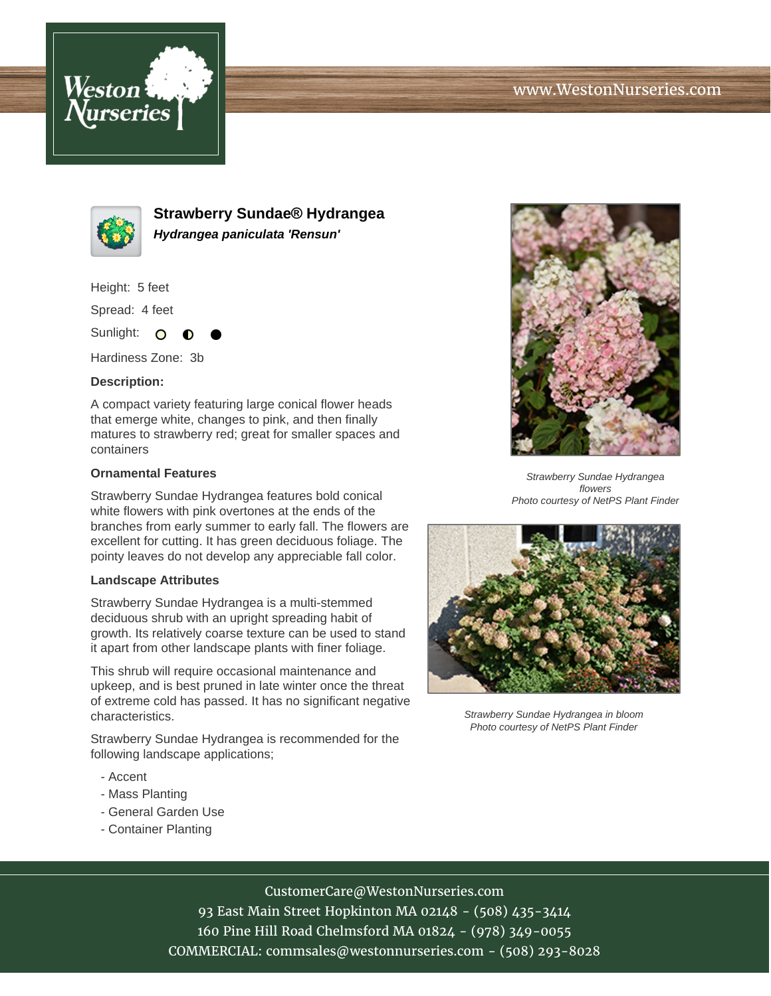



**Strawberry Sundae® Hydrangea Hydrangea paniculata 'Rensun'**

Height: 5 feet

Spread: 4 feet

Sunlight: O

Hardiness Zone: 3b

## **Description:**

A compact variety featuring large conical flower heads that emerge white, changes to pink, and then finally matures to strawberry red; great for smaller spaces and containers

## **Ornamental Features**

Strawberry Sundae Hydrangea features bold conical white flowers with pink overtones at the ends of the branches from early summer to early fall. The flowers are excellent for cutting. It has green deciduous foliage. The pointy leaves do not develop any appreciable fall color.

## **Landscape Attributes**

Strawberry Sundae Hydrangea is a multi-stemmed deciduous shrub with an upright spreading habit of growth. Its relatively coarse texture can be used to stand it apart from other landscape plants with finer foliage.

This shrub will require occasional maintenance and upkeep, and is best pruned in late winter once the threat of extreme cold has passed. It has no significant negative characteristics.

Strawberry Sundae Hydrangea is recommended for the following landscape applications;

- Accent
- Mass Planting
- General Garden Use
- Container Planting



Strawberry Sundae Hydrangea flowers Photo courtesy of NetPS Plant Finder



Strawberry Sundae Hydrangea in bloom Photo courtesy of NetPS Plant Finder

# CustomerCare@WestonNurseries.com

93 East Main Street Hopkinton MA 02148 - (508) 435-3414 160 Pine Hill Road Chelmsford MA 01824 - (978) 349-0055 COMMERCIAL: commsales@westonnurseries.com - (508) 293-8028